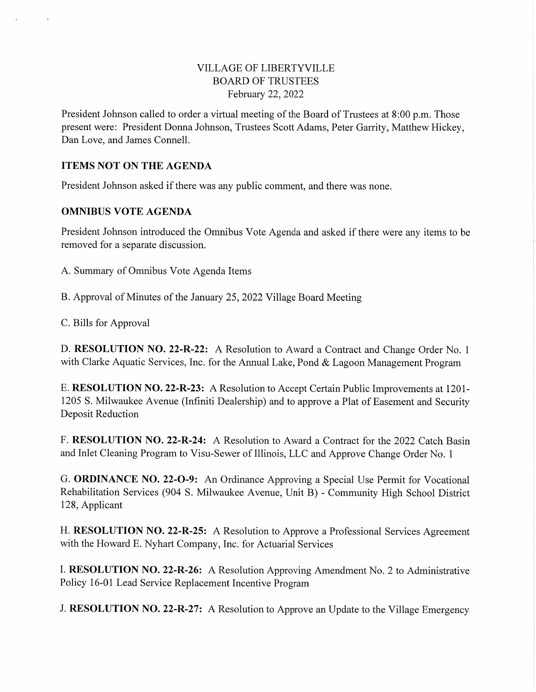# VILLAGE OF LIBERTYVILLE BOARD OF TRUSTEES February 22, 2022

President Johnson called to order a virtual meeting of the Board of Trustees at 8:00 p.m. Those present were: President Donna Johnson, Trustees Scott Adams, Peter Garrity, Matthew Hickey, Dan Love, and James Connell.

### ITEMS NOT ON THE AGENDA

President Johnson asked if there was any public comment, and there was none.

### OMNIBUS VOTE AGENDA

President Johnson introduced the Omnibus Vote Agenda and asked if there were any items to be removed for a separate discussion.

A. Summary of Omnibus Vote Agenda Items

B. Approval of Minutes of the January 25, 2022 Village Board Meeting

C. Bills for Approval

D. RESOLUTION NO. 22-R-22: A Resolution to Award a Contract and Change Order No. 1 with Clarke Aquatic Services, Inc. for the Annual Lake, Pond & Lagoon Management Program

E. RESOLUTION NO. 22-R-23: A Resolution to Accept Certain Public Improvements at 1201- 1205 S. Milwaukee Avenue (Infmiti Dealership) and to approve a Plat of Easement and Security Deposit Reduction

F. RESOLUTION NO. 22-R-24: A Resolution to Award a Contract for the 2022 Catch Basin and Inlet Cleaning Program to Visu-Sewer of Illinois, LLC and Approve Change Order No. 1

G. ORDINANCE NO. 22-0-9: An Ordinance Approving a Special Use Permit for Vocational Rehabilitation Services (904 S. Milwaukee Avenue, Unit B) - Community High School District 128, Applicant

H. RESOLUTION NO. 22-R-25: A Resolution to Approve a Professional Services Agreement with the Howard E. Nyhart Company, Inc. for Actuarial Services

I. RESOLUTION NO. 22-R-26: A Resolution Approving Amendment No. 2 to Administrative Policy 16-01 Lead Service Replacement Incentive Program

J. RESOLUTION NO. 22-R-27: A Resolution to Approve an Update to the Village Emergency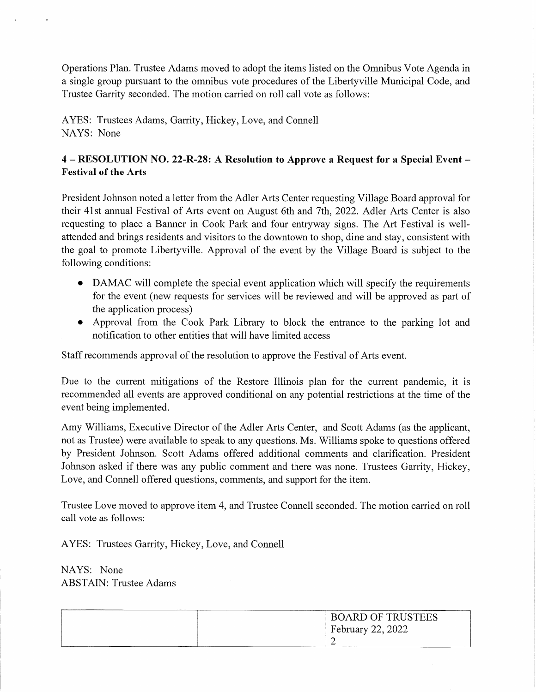Operations Plan. Trustee Adams moved to adopt the items listed on the Omnibus Vote Agenda in a single group pursuant to the omnibus vote procedures of the Libertyville Municipal Code, and Trustee Garrity seconded. The motion carried on roll call vote as follows:

AYES: Trustees Adams, Garrity, Hickey, Love, and Connell NAYS: None

# 4 - RESOLUTION NO. 22-R-28: A Resolution to Approve a Request for a Special Event Festival of the Arts

President Johnson noted a letter from the Adler Arts Center requesting Village Board approval for their 41st annual Festival of Arts event on August 6th and 7th, 2022. Adler Arts Center is also requesting to place a Banner in Cook Park and four entryway signs. The Art Festival is wellattended and brings residents and visitors to the downtown to shop, dine and stay, consistent with the goal to promote Liberty ville. Approval of the event by the Village Board is subject to the following conditions:

- DAMAC will complete the special event application which will specify the requirements for the event (new requests for services will be reviewed and will be approved as part of the application process)
- Approval from the Cook Park Library to block the entrance to the parking lot and notification to other entities that will have limited access

Staff recommends approval of the resolution to approve the Festival of Arts event.

Due to the current mitigations of the Restore Illinois plan for the current pandemic, it is recommended all events are approved conditional on any potential restrictions at the time of the event being implemented.

Amy Williams, Executive Director of the Adler Arts Center, and Scott Adams (as the applicant, not as Trustee) were available to speak to any questions. Ms. Williams spoke to questions offered by President Johnson. Scott Adams offered additional comments and clarification. President Johnson asked if there was any public comment and there was none. Trustees Garrity, Hickey, Love, and Connell offered questions, comments, and support for the item.

Trustee Love moved to approve item 4, and Trustee Connell seconded. The motion carried on roll call vote as follows:

AYES: Trustees Garrity, Hickey, Love, and Connell

NAYS: None ABSTAIN: Trustee Adams

| <b>BOARD OF TRUSTEES</b> |
|--------------------------|
| <b>February 22, 2022</b> |
|                          |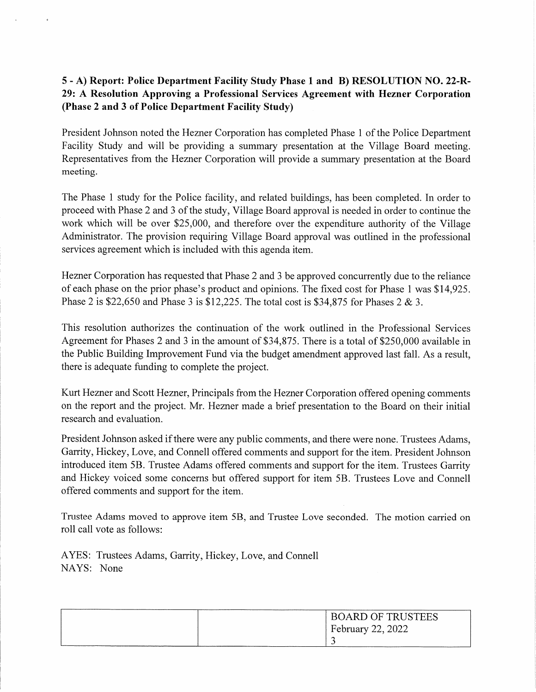# 5 - A) Report: Police Department Facility Study Phase 1 and B) RESOLUTION NO. 22-R-29: A Resolution Approving a Professional Services Agreement with Hezner Corporation (Phase 2 and 3 of Police Department Facility Study)

President Johnson noted the Hezner Corporation has completed Phase 1 of the Police Department Facility Study and will be providing a summary presentation at the Village Board meeting. Representatives from the Hezner Corporation will provide a summary presentation at the Board meeting.

The Phase 1 study for the Police facility, and related buildings, has been completed. In order to proceed with Phase 2 and 3 of the study. Village Board approval is needed in order to continue the work which will be over \$25,000, and therefore over the expenditure authority of the Village Administrator. The provision requiring Village Board approval was outlined in the professional services agreement which is included with this agenda item.

Hezner Corporation has requested that Phase 2 and 3 be approved concurrently due to the reliance of each phase on the prior phase's product and opinions. The fixed cost for Phase 1 was \$14,925. Phase 2 is \$22,650 and Phase 3 is \$12,225. The total cost is \$34,875 for Phases 2 & 3.

This resolution authorizes the continuation of the work outlined in the Professional Services Agreement for Phases 2 and 3 in the amount of \$34,875. There is a total of \$250,000 available in the Public Building Improvement Fund via the budget amendment approved last fall. As a result, there is adequate funding to complete the project.

Kurt Hezner and Scott Hezner, Principals from the Hezner Corporation offered opening comments on the report and the project. Mr. Hezner made a brief presentation to the Board on their initial research and evaluation.

President Johnson asked if there were any public comments, and there were none. Trustees Adams, Garrity, Hickey, Love, and Connell offered comments and support for the item. President Johnson introduced item 5B. Trustee Adams offered comments and support for the item. Trustees Garrity and Hickey voiced some concerns but offered support for item 5B. Trustees Love and Connell offered comments and support for the item.

Trustee Adams moved to approve item 5B, and Trustee Love seconded. The motion carried on roll call vote as follows:

AYES: Trustees Adams, Garrity, Hickey, Love, and Connell NAYS: None

| <b>BOARD OF TRUSTEES</b> |
|--------------------------|
| February 22, 2022        |
|                          |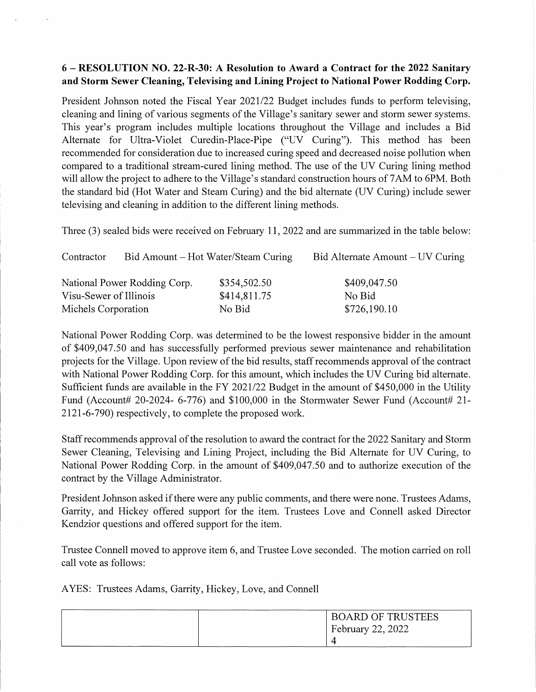# 6 - RESOLUTION NO. 22-R-30: A Resolution to Award a Contract for the 2022 Sanitary and Storm Sewer Cleaning, Televising and Lining Project to National Power Rodding Corp.

President Johnson noted the Fiscal Year 2021/22 Budget includes funds to perform televising, cleaning and lining of various segments of the Village's sanitary sewer and storm sewer systems. This year's program includes multiple locations throughout the Village and includes a Bid Alternate for Ultra-Violet Curedin-Place-Pipe ("UV Curing"). This method has been recommended for consideration due to increased curing speed and decreased noise pollution when compared to a traditional stream-cured lining method. The use of the UV Curing lining method will allow the project to adhere to the Village's standard construction hours of 7AM to 6PM. Both the standard bid (Hot Water and Steam Curing) and the bid alternate (UV Curing) include sewer televising and cleaning in addition to the different lining methods.

Three (3) sealed bids were received on February 11, 2022 and are summarized in the table below:

| Contractor             |                              | Bid Amount – Hot Water/Steam Curing | Bid Alternate Amount – UV Curing |
|------------------------|------------------------------|-------------------------------------|----------------------------------|
|                        | National Power Rodding Corp. | \$354,502.50                        | \$409,047.50                     |
| Visu-Sewer of Illinois |                              | \$414,811.75                        | No Bid                           |
| Michels Corporation    |                              | No Bid                              | \$726,190.10                     |

National Power Rodding Corp. was determined to be the lowest responsive bidder in the amount of \$409,047.50 and has successfully performed previous sewer maintenance and rehabilitation projects for the Village. Upon review of the bid results, staff recommends approval of the contract with National Power Rodding Corp. for this amount, which includes the UV Curing bid alternate. Sufficient funds are available in the FY 2021/22 Budget in the amount of \$450,000 in the Utility Fund (Account# 20-2024- 6-776) and  $$100,000$  in the Stormwater Sewer Fund (Account# 21-2121-6-790) respectively, to complete the proposed work.

Staff recommends approval of the resolution to award the contract for the 2022 Sanitary and Storm Sewer Cleaning, Televising and Lining Project, including the Bid Alternate for UV Curing, to National Power Rodding Corp. in the amount of \$409,047.50 and to authorize execution of the contract by the Village Administrator.

President Johnson asked if there were any public comments, and there were none. Trustees Adams, Garrity, and Hickey offered support for the item. Trustees Love and Connell asked Director Kendzior questions and offered support for the item.

Trustee Connell moved to approve item 6, and Trustee Love seconded. The motion carried on roll call vote as follows:

AYES: Trustees Adams, Garrity, Hickey, Love, and Connell

| <b>BOARD OF TRUSTEES</b> |
|--------------------------|
| <b>February 22, 2022</b> |
|                          |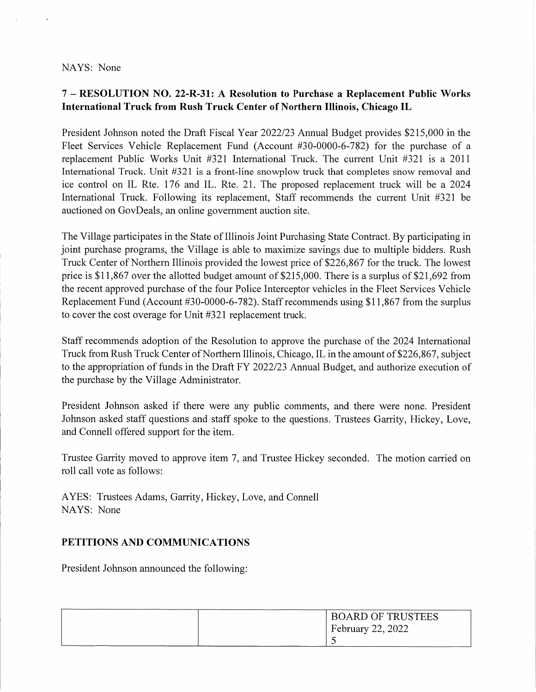#### NAYS: None

# 7 - RESOLUTION NO. 22-R-31: A Resolution to Purchase a Replacement Public Works International Truck from Rush Truck Center of Northern Illinois, Chicago IL

President Johnson noted the Draft Fiscal Year 2022/23 Annual Budget provides \$215,000 in the Fleet Services Vehicle Replacement Fund (Account #30-0000-6-782) for the purchase of a replacement Public Works Unit #321 International Truck. The current Unit #321 is a 2011 International Truck. Unit #321 is a front-line snowplow truck that completes snow removal and ice control on IL Rte. 176 and IL. Rte. 21. The proposed replacement truck will be a 2024 International Truck. Following its replacement, Staff recommends the current Unit #321 be auctioned on GovDeals, an online government auction site.

The Village participates in the State of Illinois Joint Purchasing State Contract. By participating in joint purchase programs, the Village is able to maximize savings due to multiple bidders. Rush Truck Center of Northern Illinois provided the lowest price of \$226,867 for the truck. The lowest price is \$11,867 over the allotted budget amount of \$215,000. There is a surplus of \$21,692 from the recent approved purchase of the four Police Interceptor vehicles in the Fleet Services Vehicle Replacement Fund (Account #30-0000-6-782). Staff recommends using \$11,867 from the surplus to cover the cost overage for Unit #321 replacement truck.

Staff recommends adoption of the Resolution to approve the purchase of the 2024 International Truck from Rush Truck Center of Northern Illinois, Chicago, IL in the amount of \$226,867, subject to the appropriation of funds in the Draft FY 2022/23 Annual Budget, and authorize execution of the purchase by the Village Administrator.

President Johnson asked if there were any public comments, and there were none. President Johnson asked staff questions and staff spoke to the questions. Trustees Garrity, Hickey, Love, and Connell offered support for the item.

Trustee Garrity moved to approve item 7, and Trustee Hickey seconded. The motion carried on roll call vote as follows:

AYES: Trustees Adams, Garrity, Hickey, Love, and Connell NAYS: None

### PETITIONS AND COMMUNICATIONS

President Johnson announced the following:

| <b>BOARD OF TRUSTEES</b> |
|--------------------------|
| February 22, 2022        |
|                          |